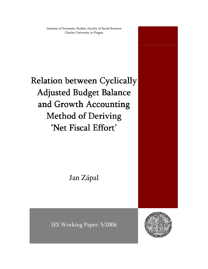Institute of Economic Studies, Faculty of Social Sciences Charles University in Prague

# Relation between Cyclically Adjusted Budget Balance and Growth Accounting Method of Deriving 'Net Fiscal Effort'

Jan Zápal

IES Working Paper: 5/2006

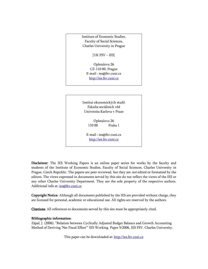Institute of Economic Studies, Faculty of Social Sciences, Charles University in Prague

[UK FSV – IES]

Opletalova 26 CZ-110 00, Prague E-mail : ies@fsv.cuni.cz http://ies.fsv.cuni.cz

Institut ekonomických studií Fakulta sociálních věd Univerzita Karlova v Praze

> Opletalova 26 110 00 Praha 1

E-mail : ies@fsv.cuni.cz http://ies.fsv.cuni.cz

Disclaimer: The IES Working Papers is an online paper series for works by the faculty and students of the Institute of Economic Studies, Faculty of Social Sciences, Charles University in Prague, Czech Republic. The papers are peer reviewed, but they are *not* edited or formatted by the editors. The views expressed in documents served by this site do not reflect the views of the IES or any other Charles University Department. They are the sole property of the respective authors. Additional info at: ies@fsv.cuni.cz

**Copyright Notice**: Although all documents published by the IES are provided without charge, they are licensed for personal, academic or educational use. All rights are reserved by the authors.

Citations: All references to documents served by this site must be appropriately cited.

#### Bibliographic information:

Zápal, J. (2006). "Relation between Cyclically Adjusted Budget Balance and Growth Accounting Method of Deriving 'Net Fiscal Effort'" IES Working Paper 5/2006, IES FSV. Charles University.

This paper can be downloaded at: http://ies.fsv.cuni.cz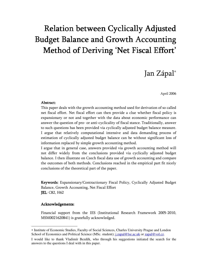## Relation between Cyclically Adjusted Budget Balance and Growth Accounting Method of Deriving 'Net Fiscal Effort'

### Jan Zápal<sup>∗</sup>

April 2006

#### Abstract:

This paper deals with the growth accounting method used for derivation of so called net fiscal effort. Net fiscal effort can then provide a clue whether fiscal policy is expansionary or not and together with the data about economic performance can answer the question of pro- or anti-cyclicality of fiscal stance. Traditionally, answer to such questions has been provided via cyclically adjusted budget balance measure. I argue that relatively computational intensive and data demanding process of estimation of cyclically adjusted budget balance can be without significant loss of information replaced by simple growth accounting method.

I argue that in general case, answers provided via growth accounting method will not differ widely from the conclusions provided via cyclically adjusted budget balance. I then illustrate on Czech fiscal data use of growth accounting and compare the outcomes of both methods. Conclusions reached in the empirical part fit nicely conclusions of the theoretical part of the paper.

Keywords: Expansionary/Contractionary Fiscal Policy , Cyclically Adjusted Budget Balance, Growth Accounting, Net Fiscal Effort **JEL: C82, H62** 

#### Acknowledgements: Acknowledgements:

<u>.</u>

Financial support from the IES (Institutional Research Framework 2005-2010, MSM0021620841) is gratefully acknowledged.

<sup>∗</sup> Institute of Economic Studies, Faculty of Social Sciences, Charles University Prague and London School of Economics and Political Science (MSc. student); j.zapal@lse.ac.uk or zapal@vol.cz.

I would like to thank Vladimír Bezděk, who through his suggestions initiated the search for the answers to the questions I deal with in this paper.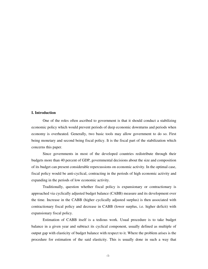#### **I. Introduction**

One of the roles often ascribed to government is that it should conduct a stabilizing economic policy which would prevent periods of deep economic downturns and periods when economy is overheated. Generally, two basic tools may allow government to do so. First being monetary and second being fiscal policy. It is the fiscal part of the stabilization which concerns this paper.

Since governments in most of the developed countries redistribute through their budgets more than 40 percent of GDP, governmental decisions about the size and composition of its budget can present considerable repercussions on economic activity. In the optimal case, fiscal policy would be anti-cyclical, contracting in the periods of high economic activity and expanding in the periods of low economic activity.

Traditionally, question whether fiscal policy is expansionary or contractionary is approached via cyclically adjusted budget balance (CABB) measure and its development over the time. Increase in the CABB (higher cyclically adjusted surplus) is then associated with contractionary fiscal policy and decrease in CABB (lower surplus, i.e. higher deficit) with expansionary fiscal policy.

Estimation of CABB itself is a tedious work. Usual procedure is to take budget balance in a given year and subtract its cyclical component, usually defined as multiple of output gap with elasticity of budget balance with respect to it. Where the problem arises is the procedure for estimation of the said elasticity. This is usually done in such a way that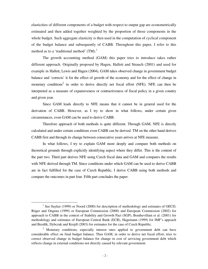elasticities of different components of a budget with respect to output gap are econometrically estimated and then added together weighted by the proportion of those components in the whole budget. Such aggregate elasticity is then used in the computation of cyclical component of the budget balance and subsequently of CABB. Throughout this paper, I refer to this method as to a 'traditional method'  $(TM).<sup>1</sup>$ 

The growth accounting method (GAM) this paper tries to introduce takes rather different approach. Originally proposed by Hagen, Hallett and Strauch (2001) and used for example in Hallett, Lewis and Hagen (2004), GAM takes observed change in government budget balance and 'corrects' it for the effect of growth of the economy and for the effect of change in monetary conditions<sup>2</sup> in order to derive directly net fiscal effort (NFE). NFE can then be interpreted as a measure of expansiveness or contractiveness of fiscal policy in a given country and given year.

Since GAM leads directly to NFE means that it cannot be in general used for the derivation of CABB. However, as I try to show in what follows, under certain given circumstances, even GAM can be used to derive CABB.

Therefore approach of both methods is quite different. Through GAM, NFE is directly calculated and under certain conditions even CABB can be derived. TM on the other hand derives CABB first and through its change between consecutive years arrives at NFE measure.

In what follows, I try to explain GAM more deeply and compare both methods on theoretical grounds through explicitly identifying aspect where they differ. This is the content of the part two. Third part derives NFE using Czech fiscal data and GAM and compares the results with NFE derived through TM. Since conditions under which GAM can be used to derive CABB are in fact fulfilled for the case of Czech Republic, I derive CABB using both methods and compare the outcomes in part four. Fifth part concludes the paper.

 $\overline{\phantom{0}}$ 

<sup>&</sup>lt;sup>1</sup> See Suyker (1999) or Noord (2000) for description of methodology and estimates of OECD, Röger and Ongena (1999) or European Commission (2000) and European Commission (2002) for approach to CABB in the context of Stability and Growth Pact (SGP), Bouthevillain et al. (2001) for methodology and estimates of European Central Bank (ECB), Hagemann (1999) for IMF's appoach and Bezděk, Dybczak and Krejdl (2003) for estimates for the case of Czech Republic.

<sup>&</sup>lt;sup>2</sup> Monetary conditions, especially interest rates applied to government debt can have considerable effect on final budget balance. Thus GAM, in order to derive net fiscal effort, tries to correct observed change in budget balance for change in cost of servicing government debt which reflects change in external conditions not directly caused by relevant government.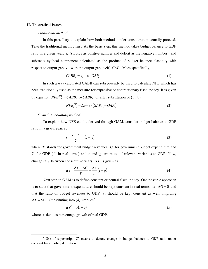#### **II. Theoretical Issues**

#### *Traditional method*

In this part, I try to explain how both methods under consideration actually proceed. Take the traditional method first. As the basic step, this method takes budget balance to GDP ratio in a given year,  $s_t$  (surplus as positive number and deficit as the negative number), and subtracts cyclical component calculated as the product of budget balance elasticity with respect to output gap,  $\varepsilon$ , with the output gap itself,  $GAP_t$ . More specifically,

$$
CABB_t = s_t - \mathcal{E} \cdot \text{GAP}_t \tag{1}
$$

In such a way calculated CABB can subsequently be used to calculate NFE which has been traditionally used as the measure for expansive or contractionary fiscal policy. It is given by equation  $NFE_{t+1}^{TM} = CABB_{t+1} - CABB_t$ , or after substitution of (1), by

$$
NFE_{t+1}^{TM} = \Delta s - \varepsilon \cdot (GAP_{t+1} - GAP_t)
$$
 (2).

#### *Growth Accounting method*

To explain how NFE can be derived through GAM, consider budget balance to GDP ratio in a given year, s,

$$
s = \frac{T - G}{Y} = (t - g) \tag{3}
$$

where *T* stands for government budget revenues, *G* for government budget expenditure and *Y* for GDP (all in real terms) and *t* and *g* are ratios of relevant variables to GDP. Now, change in *s* between consecutive years, ∆*s*, is given as

$$
\Delta s = \frac{\Delta T - \Delta G}{Y} - \frac{\Delta Y}{Y} (t - g) \tag{4}
$$

Next step in GAM is to define constant or neutral fiscal policy. One possible approach is to state that government expenditure should be kept constant in real terms, i.e.  $\Delta G = 0$  and that the ratio of budget revenues to GDP,  $t$ , should be kept constant as well, implying  $\Delta T = t \Delta Y$ . Substituting into (4), implies<sup>3</sup>

$$
\Delta s^C = \gamma (t - s) \tag{5},
$$

where  $\gamma$  denotes percentage growth of real GDP.

 $\overline{\phantom{a}}$ 

<sup>&</sup>lt;sup>3</sup> Use of superscript 'C' means to denote change in budget balance to GDP ratio under constant fiscal policy definition.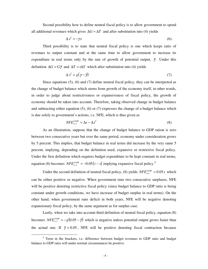Second possibility how to define neutral fiscal policy is to allow government to spend all additional revenues which gives  $\Delta G = \Delta T$  and after substitution into (4) yields

$$
\Delta s^c = -\gamma s \tag{6}.
$$

Third possibility is to state that neutral fiscal policy is one which keeps ratio of revenues to output constant and at the same time to allow government to increase its expenditure in real terms only by the rate of growth of potential output,  $\bar{\gamma}$ . Under this definition  $\Delta G = G\overline{\gamma}$  and  $\Delta T = t\Delta Y$  which after substitution into (4) yields

$$
\Delta s^c = g(\gamma - \overline{\gamma}) \tag{7}.
$$

Since equations (5), (6) and (7) define neutral fiscal policy, they can be interpreted as the change of budget balance which stems from growth of the economy itself, in other words, in order to judge about restrictiveness or expansiveness of fiscal policy, the growth of economy should be taken into account. Therefore, taking observed change in budget balance and subtracting either equation (5), (6) or (7) expresses the change of a budget balance which is due solely to government's actions, i.e. NFE, which is thus given as

$$
NFE_{t+1}^{GAM} = \Delta s - \Delta s^C \tag{8}
$$

As an illustration, suppose that the change of budget balance to GDP ration is zero between two consecutive years but over the same period, economy under consideration grows by 5 percent. This implies, that budget balance in real terms did increase by the very same 5 percent, implying, depending on the definition used, expansive or restrictive fiscal policy. Under the first definition which requires budget expenditure to be kept constant in real terms, equation (8) becomes  $NFE_{t+1}^{GAM} = -0.05(t-s)$  implying expansive fiscal policy.<sup>4</sup>

Under the second definition of neutral fiscal policy, (8) yields  $NFE_{t+1}^{GAM} = 0.05 s$  which can be either positive or negative. When government runs two consecutive surpluses, NFE will be positive denoting restrictive fiscal policy (since budget balance to GDP ratio is being constant under growth conditions, we have increase of budget surplus in real terms). On the other hand, when government runs deficit in both years, NFE will be negative denoting expansionary fiscal policy, by the same argument as for surplus case.

Lastly, when we take into account third definition of neutral fiscal policy, equation (8) becomes  $NFE_{t+1}^{GAM} = -g(0.05 - \bar{r})$  which is negative unless potential output grows faster than the actual one. If  $\bar{\gamma} > 0.05$ , NFE will be positive denoting fiscal contraction because

j

<sup>&</sup>lt;sup>4</sup> Term in the brackets, i.e. difference between budget revenues to GDP ratio and budget balance to GDP ratio will under normal circumstances be positive.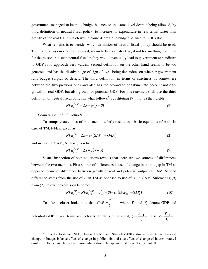government managed to keep its budget balance on the same level despite being allowed, by third definition of neutral fiscal policy, to increase its expenditure in real terms faster than growth of the real GDP, which would cause decrease in budget balance to GDP ratio.

What remains is to decide, which definition of neutral fiscal policy should be used. The first one, as our example showed, seems to be too restrictive, if not for anything else, then for the reason that such neutral fiscal policy would eventually lead to government expenditure to GDP ratio approach zero values. Second definition on the other hand seems to be too generous and has the disadvantage of sign of  $\Delta s^C$  being dependent on whether government runs budget surplus or deficit. The third definition, in terms of strictness, is somewhere between the two previous ones and also has the advantage of taking into account not only growth of real GDP, but also growth of potential GDP. For this reason, I shall use the third definition of neutral fiscal policy in what follows.<sup>5</sup> Substituting (7) into (8) then yields

$$
NFE_{t+1}^{GAM} = \Delta s - g(\gamma - \overline{\gamma})
$$
\n(9)

#### *Comparison of both methods*

To compare outcomes of both methods, let's restate two basic equations of both. In case of TM, NFE is given as

$$
NFE_{t+1}^{TM} = \Delta s - \varepsilon \cdot (GAP_{t+1} - GAP_t)
$$
 (2)

and in case of GAM, NFE is given by

 $\overline{\phantom{a}}$ 

$$
NFE_{t+1}^{GAM} = \Delta s - g(\gamma - \overline{\gamma})
$$
\n(9)

Visual inspection of both equations reveals that there are two sources of differences between the two methods. First source of differences is use of change in output gap in TM as opposed to use of difference between growth of real and potential output in GAM. Second difference stems from the use of  $\varepsilon$  in TM as opposed to use of  $g$  in GAM. Subtracting (9) from (2), relevant expression becomes

$$
NFE_{t+1}^{TM} - NFE_{t+1}^{GAM} = g(\gamma - \overline{\gamma}) - \varepsilon \cdot (GAP_{t+1} - GAP_t)
$$
\n(10).

To take a closer look, note that  $GAP_t = \frac{1}{5} - 1$ *t*  $P_t = \frac{I_t}{\overline{Y}_t}$  $GAP_t = \frac{Y_t}{\overline{Y}_t} - 1$ , where  $Y_t$  and  $\overline{Y}_t$  denote GDP and

potential GDP in real terms respectively. In the similar spirit,  $\gamma = \frac{I_{t+1}}{I_{t+1}} - 1$ *t t Y*  $\gamma = \frac{Y_{t+1}}{Y} - 1$  and  $\overline{\gamma} = \frac{Y_{t+1}}{\overline{Y}} - 1$ *t t Y*  $\bar{\gamma} = \frac{Y_{t+1}}{\bar{\gamma}} - 1$ .

<sup>&</sup>lt;sup>5</sup> In order to derive NFE, Hagen, Hallett and Strauch (2001) also subtract from observed change in budget balance effect of change in public debt and also effect of change of interest rates. I omit those two channels for the reason which should be apparent later on. See footnote 8.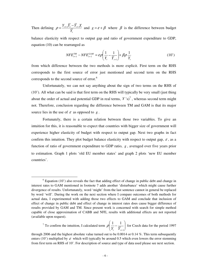Then defining *t*  $t+1$  **t**  $t$  **f**  $t+1$  **f**  $t$ *Y*  $\rho = \frac{Y_{t+1}Y_t - Y_{t+1}Y_t}{\overline{Y}_{t+1}Y_t}$  and  $g = \varepsilon + \beta$  where  $\beta$  is the difference between budget balance elasticity with respect to output gap and ratio of government expenditure to GDP, equation (10) can be rearranged as

$$
NFE_{t+1}^{TM} - NFE_{t+1}^{GAM} = \varepsilon \rho \left( \frac{1}{Y_t} - \frac{1}{\overline{Y}_{t+1}} \right) + \beta \rho \frac{1}{Y_t}
$$
 (10')

from which difference between the two methods is more explicit. First term on the RHS corresponds to the first source of error just mentioned and second term on the RHS corresponds to the second source of error.<sup>6</sup>

Unfortunately, we can not say anything about the sign of two terms on the RHS of (10'). All what can be said is that first term on the RHS will typically be very small (just thing about the order of actual and potential GDP in real terms,  $Y$ 's)<sup>7</sup>, whereas second term might not. Therefore, conclusion regarding the difference between TM and GAM is that its major source lies in the use of  $\varepsilon$  as opposed to  $g$ .

Fortunately, there is a certain relation between those two variables. To give an intuition for this, it is reasonable to expect that countries with bigger size of government will experience higher elasticity of budget with respect to output gap. Next two graphs in fact confirm this intuition. They plot budget balance elasticity with respect to output gap,  $\varepsilon$ , as a function of ratio of government expenditure to GDP ratio, *g* , averaged over five years prior to estimation. Graph 1 plots 'old EU member states' and graph 2 plots 'new EU member countries'.

 $\overline{a}$ 

 $6$  Equation (10') also reveals the fact that adding effect of change in public debt and change in interest rates to GAM mentioned in footnote 7 adds another 'disturbance' which might cause further divergence of results. Unfortunately, word 'might' from the last sentence cannot in general be replaced by word 'will'. During the work on the next section where I compare outcomes of both methods for actual data, I experimented with adding those two effects to GAM and conclude that inclusion of effect of change in public debt and effect of change in interest rates does cause bigger difference of results provided by GAM and TM. Since present work is concerned with search for simple method capable of close approximation of CABB and NFE, results with additional effects are not reported (available upon request).

<sup>&</sup>lt;sup>7</sup> To confirm the intuition, I calculated term  $\rho \frac{1}{V} - \frac{1}{\overline{V}}$ J  $\backslash$  $\overline{\phantom{a}}$ l ſ − + 1 1 1  $Y_t$   $Y_t$  $\rho = \frac{1}{\sigma}$  for Czech data for the period 1997

through 2006 and the highest absolute value turned out to be 0.0014 or 0.14 %. This term subsequently enters (10') multiplied by  $\varepsilon$  which will typically be around 0.5 which even lowers the error stemming from first term on RHS of 10'. For description of source and type of data used please see next section.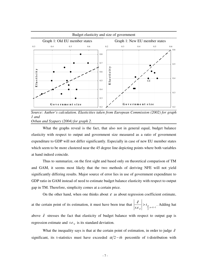

*Source: Author's calculation. Elasticities taken from European Commission (2002) for graph 1 and Orban and Szapary (2004) for graph 2.* 

What the graphs reveal is the fact, that also not in general equal, budget balance elasticity with respect to output and government size measured as a ratio of government expenditure to GDP will not differ significantly. Especially in case of new EU member states which seem to be more clustered near the 45 degree line depicting points where both variables at hand indeed coincide.

Thus to summarize, on the first sight and based only on theoretical comparison of TM and GAM, it seems most likely that the two methods of deriving NFE will not yield significantly differing results. Major source of error lies in use of government expenditure to GDP ratio in GAM instead of need to estimate budget balance elasticity with respect to output gap in TM. Therefore, simplicity comes at a certain price.

On the other hand, when one thinks about  $\varepsilon$  as about regression coefficient estimate,

at the certain point of its estimation, it must have been true that  $\left|\frac{e}{s.e_{\hat{e}}}\right| > t_{\frac{\alpha}{2}; n-k-1}$ ˆ  $>t_{\alpha}$ <sub> $\vdots$ n-k-</sub>  $s.e.$ <sub> $\hat{\epsilon}$ </sub> ε  $\mathcal{E}$  >  $t_{\alpha}$  Adding hat above  $\hat{\epsilon}$  stresses the fact that elasticity of budget balance with respect to output gap is regression estimate and  $s.e.$ <sub> $\hat{\epsilon}$ </sub> is its standard deviation.

What the inequality says is that at the certain point of estimation, in order to judge  $\hat{\varepsilon}$ significant, its t-statistics must have exceeded  $\alpha/2 - th$  percentile of t-distribution with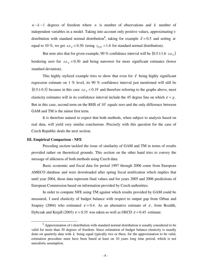$n - k - 1$  degrees of freedom where *n* is number of observations and *k* number of independent variables in a model. Taking into account only positive values, approximating tdistribution with standard normal distribution<sup>8</sup>, taking for example  $\hat{\varepsilon} = 0.5$  and setting  $\alpha$ equal to 10 %, we get  $s.e._{\hat{\varepsilon}} < 0.30$  (using  $z_{0.95} = 1.6$  for standard normal distribution).

But note also that for given example, 90 % confidence interval will be  $(0.5 \pm 1.6 \cdot s.e.)$ bordering zero for  $s.e., = 0.30$  and being narrower for more significant estimates (lower standard deviation).

This highly stylized example tries to show that even for  $\hat{\varepsilon}$  being highly significant regression estimate on 1 % level, its 90 % confidence interval just mentioned will still be  $(0.5 \pm 0.3)$  because in this case  $s.e., \ge 0.19$  and therefore referring to the graphs above, most elasticity estimates will in its confidence interval include the 45 degree line on which  $\varepsilon = g$ . But in this case, second term on the RHS of 10' equals zero and the only difference between GAM and TM is the minor first term.

It is therefore natural to expect that both methods, when subject to analysis based on real data, will yield very similar conclusions. Precisely with this question for the case of Czech Republic deals the next section.

#### **III. Empirical Comparison - NFE**

 $\overline{\phantom{a}}$ 

Preceding section tackled the issue of similarity of GAM and TM in terms of results provided rather on theoretical grounds. This section on the other hand tries to convey the message of alikeness of both methods using Czech data.

Basic economic and fiscal data for period 1997 through 2006 come from European AMECO database and were downloaded after spring fiscal notification which implies that until year 2004, those data represent final values and for years 2005 and 2006 predictions of European Commission based on information provided by Czech authorities.

In order to compute NFE using TM against which results provided by GAM could be measured, I used elasticity of budget balance with respect to output gap from Orban and Szapary (2004) who estimated  $\varepsilon = 0.4$ . As an alternative estimate of  $\varepsilon$ , from Bezděk, Dybczak and Krejdl (2003)  $\varepsilon = 0.35$  was taken as well as OECD  $\varepsilon = 0.45$  estimate.

<sup>&</sup>lt;sup>8</sup> Approximation of t-distribution with standard normal distribution is usually considered to be valid for more than 30 degrees of freedom. Since estimation of budget balance elasticity is usually done on quarterly data with *k* being equal typically two or three, for the approximation to be valid, estimation procedure must have been based at least on 10 years long time period, which is not unrealistic assumption.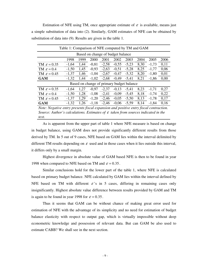Estimation of NFE using TM, once appropriate estimate of  $\varepsilon$  is available, means just a simple substitution of data into (2). Similarly, GAM estimates of NFE can be obtained by substitution of data into (9). Results are given in the table 1.

| Table 1: Comparison of NFE computed by TM and GAM                                             |         |      |         |         |         |         |      |         |      |  |  |
|-----------------------------------------------------------------------------------------------|---------|------|---------|---------|---------|---------|------|---------|------|--|--|
| Based on change of budget balance                                                             |         |      |         |         |         |         |      |         |      |  |  |
|                                                                                               | 1998    | 1999 | 2000    | 2001    | 2002    | 2003    | 2004 | 2005    | 2006 |  |  |
| TM $\varepsilon = 0.35$                                                                       | $-1,64$ | 1,44 | $-0.81$ | $-2,58$ | $-0.55$ | $-5,23$ | 8,30 | $-1,73$ | 0,11 |  |  |
| TM $\varepsilon = 0.4$                                                                        | $-1,50$ | 1,45 | $-0,93$ | $-2,63$ | $-0.51$ | $-5,28$ | 8,25 | $-1,77$ | 0,06 |  |  |
| TM $\varepsilon = 0.45$                                                                       | $-1,37$ | 1,46 | $-1,04$ | $-2,67$ | $-0.47$ | $-5,32$ | 8,20 | $-1,80$ | 0,01 |  |  |
| <b>GAM</b>                                                                                    | $-1,32$ | 1,44 | $-1,02$ | $-2,68$ | $-0.49$ | $-5,41$ | 8,21 | $-1,86$ | 0,00 |  |  |
| Based on change of primary budget balance                                                     |         |      |         |         |         |         |      |         |      |  |  |
| TM $\varepsilon = 0.35$                                                                       | $-1,64$ | 1.27 | $-0.97$ | $-2,37$ | $-0.13$ | $-5.41$ | 8,23 | $-1,71$ | 0,27 |  |  |
| TM $\varepsilon = 0.4$                                                                        | $-1,50$ | 1,28 | $-1,08$ | $-2,41$ | $-0.09$ | $-5,45$ | 8,18 | $-1,74$ | 0,22 |  |  |
| TM $\varepsilon = 0.45$                                                                       | $-1,37$ | 1,29 | $-1,20$ | $-2,46$ | $-0.05$ | $-5,50$ | 8,13 | $-1,78$ | 0,17 |  |  |
| <b>GAM</b>                                                                                    | $-1,32$ | 1,26 | $-1,18$ | $-2,46$ | $-0.06$ | $-5,59$ | 8,14 | $-1,84$ | 0,16 |  |  |
| Note: Negative entry presents fiscal expansion and positive entry fiscal contraction.         |         |      |         |         |         |         |      |         |      |  |  |
| Source: Author's calculations. Estimates of $\varepsilon$ taken from sources indicated in the |         |      |         |         |         |         |      |         |      |  |  |

As is apparent from the upper part of table 1 where NFE measure is based on change in budget balance, using GAM does not provide significantly different results from those derived by TM. In 5 out of 9 cases, NFE based on GAM lies within the interval delimited by different TM results depending on  $\varepsilon$  used and in those cases when it lies outside this interval, it differs only by a small margin.

*text.* 

Highest divergence in absolute value of GAM based NFE is then to be found in year 1998 when compared to NFE based on TM and  $\varepsilon = 0.35$ .

Similar conclusions hold for the lower part of the table 1, where NFE is calculated based on primary budget balance. NFE calculated by GAM lies within the interval defined by NFE based on TM with different  $\varepsilon$ 's in 5 cases, differing in remaining cases only insignificantly. Highest absolute value difference between results provided by GAM and TM is again to be found in year 1998 for  $\varepsilon = 0.35$ .

Thus it seems that GAM can be without chance of making great error used for estimation of NFE with the advantage of its simplicity and no need for estimation of budget balance elasticity with respect to output gap, which is virtually impossible without deep econometric knowledge and possession of relevant data. But can GAM be also used to estimate CABB? We shall see in the next section.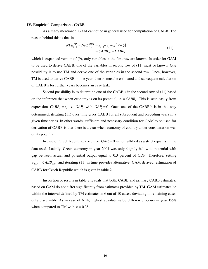#### **IV. Empirical Comparison - CABB**

As already mentioned, GAM cannot be in general used for computation of CABB. The reason behind this is that in

$$
NFE_{t+1}^{TM} \approx NFE_{t+1}^{GAM} = s_{t+1} - s_t - g(\gamma - \bar{\gamma})
$$
  
=  $CABB_{t+1} - CABB_t$  (11)

which is expanded version of (9), only variables in the first row are known. In order for GAM to be used to derive CABB, one of the variables in second row of (11) must be known. One possibility is to use TM and derive one of the variables in the second row. Once, however, TM is used to derive CABB in one year, then  $\varepsilon$  must be estimated and subsequent calculation of CABB's for further years becomes an easy task.

Second possibility is to determine one of the CABB's in the second row of (11) based on the inference that when economy is on its potential,  $s_t = CABB_t$ . This is seen easily from expression  $CABB_t = s_t - \varepsilon \cdot GAP_t$  with  $GAP_t = 0$ . Once one of the CABB's is in this way determined, iterating (11) over time gives CABB for all subsequent and preceding years in a given time series. In other words, sufficient and necessary condition for GAM to be used for derivation of CABB is that there is a year when economy of country under consideration was on its potential.

In case of Czech Republic, condition  $GAP<sub>t</sub> = 0$  is not fulfilled as a strict equality in the data used. Luckily, Czech economy in year 2004 was only slightly below its potential with gap between actual and potential output equal to 0.3 percent of GDP. Therefore, setting  $S_{2004} = CABB_{2004}$  and iterating (11) in time provides alternative, GAM derived, estimation of CABB for Czech Republic which is given in table 2.

Inspection of results in table 2 reveals that both, CABB and primary CABB estimates, based on GAM do not differ significantly from estimates provided by TM. GAM estimates lie within the interval defined by TM estimates in 6 out of 10 cases, deviating in remaining cases only discernibly. As in case of NFE, highest absolute value difference occurs in year 1998 when compared to TM with  $\varepsilon = 0.35$ .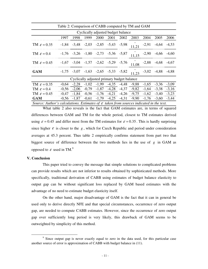|                                                                                                     | Table 2: Comparison of CABB computed by TM and GAM |                                                         |      |               |      |                         |                                                                                   |         |                 |         |  |  |
|-----------------------------------------------------------------------------------------------------|----------------------------------------------------|---------------------------------------------------------|------|---------------|------|-------------------------|-----------------------------------------------------------------------------------|---------|-----------------|---------|--|--|
| Cyclically adjusted budget balance                                                                  |                                                    |                                                         |      |               |      |                         |                                                                                   |         |                 |         |  |  |
|                                                                                                     | 1997                                               | 1998                                                    | 1999 | 2000          | 2001 | 2002                    | 2003                                                                              | 2004    | 2005            | 2006    |  |  |
| TM $\varepsilon = 0.35$                                                                             |                                                    |                                                         |      |               |      |                         | $-1,84$ $-3,48$ $-2,03$ $-2,85$ $-5,43$ $-5,98$ $\overline{1,21}$ $-2,91$ $-4,64$ |         |                 | $-4,53$ |  |  |
| TM $\varepsilon = 0.4$                                                                              |                                                    | $-1,76$ $-3,26$ $-1,80$ $-2,73$ $-5,36$ $-5,87$         |      |               |      |                         | 11.15                                                                             | $-2,90$ | $-4,66$         | $-4,60$ |  |  |
| TM $\varepsilon = 0.45$                                                                             |                                                    |                                                         |      |               |      |                         | $-1,67$ $-3,04$ $-1,57$ $-2,62$ $-5,29$ $-5,76$ $\frac{1}{11,08}$ $-2,88$         |         | $-4,68$         | $-4,67$ |  |  |
| <b>GAM</b>                                                                                          |                                                    | $-1,75$ $-3,07$ $-1,63$ $-2,65$ $-5,33$ $-5,82$         |      |               |      |                         | 11.23                                                                             |         | $-3,02$ $-4,88$ | $-4,88$ |  |  |
| Cyclically adjusted primary budget balance                                                          |                                                    |                                                         |      |               |      |                         |                                                                                   |         |                 |         |  |  |
| TM $\varepsilon = 0.35$                                                                             |                                                    |                                                         |      |               |      |                         | $-0.64$ $-2.28$ $-1.02$ $-1.99$ $-4.35$ $-4.48$ $-9.88$ $-1.65$                   |         | $-3,36$         | $-3,09$ |  |  |
| TM $\varepsilon = 0.4$                                                                              | $-0.56$                                            | $-2,06$                                                 |      | $-0.79 -1.87$ |      | $-4,28$ $-4,37$         | $-9,82$                                                                           | $-1,64$ | $-3,38$         | $-3,16$ |  |  |
| TM $\varepsilon = 0.45$                                                                             |                                                    | $-0.47$ $-1.84$ $-0.56$ $-1.76$                         |      |               |      | $-4,21$ $-4,26$ $-9,75$ |                                                                                   | $-1,62$ | $-3,40$         | $-3,23$ |  |  |
| <b>GAM</b>                                                                                          |                                                    | $-0.56$ $-1.87$ $-0.61$ $-1.79$ $-4.25$ $-4.31$ $-9.90$ |      |               |      |                         |                                                                                   | $-1,76$ | $-3,60$         | $-3,44$ |  |  |
| Source: Author's calculations. Estimates of $\varepsilon$ taken from sources indicated in the text. |                                                    |                                                         |      |               |      |                         |                                                                                   |         |                 |         |  |  |

What table 2 also reveals is the fact that GAM estimates are, in terms of squared differences between GAM and TM for the whole period, closest to TM estimates derived using  $\varepsilon = 0.45$  and differ most from the TM estimates for  $\varepsilon = 0.35$ . This is hardly surprising since higher  $\varepsilon$  is closer to the  $g$ , which for Czech Republic and period under consideration averages at 45.3 percent. Thus table 2 empirically confirms statement from part two that biggest source of difference between the two methods lies in the use of *g* in GAM as opposed to  $\varepsilon$  used in TM.<sup>9</sup>

#### **V. Conclusion**

 $\overline{\phantom{a}}$ 

This paper tried to convey the message that simple solutions to complicated problems can provide results which are not inferior to results obtained by sophisticated methods. More specifically, traditional derivation of CABB using estimates of budget balance elasticity to output gap can be without significant loss replaced by GAM based estimates with the advantage of no need to estimate budget elasticity itself.

On the other hand, major disadvantage of GAM is the fact that it can in general be used only to derive directly NFE and that special circumstances, occurrence of zero output gap, are needed to compute CABB estimates. However, since the occurrence of zero output gap over sufficiently long period is very likely, this drawback of GAM seems to be outweighted by simplicity of this method.

<sup>&</sup>lt;sup>9</sup> Since output gap is never exactly equal to zero in the data used, for this particular case another source of error is approximation of CABB with budget balance in (11).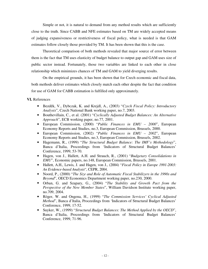Simple or not, it is natural to demand from any method results which are sufficiently close to the truth. Since CABB and NFE estimates based on TM are widely accepted means of judging expansiveness or restrictiveness of fiscal policy, what is needed is that GAM estimates follow closely those provided by TM. It has been shown that this is the case.

Theoretical comparison of both methods revealed that major source of error between them is the fact that TM uses elasticity of budget balance to output gap and GAM uses size of public sector instead. Fortunately, those two variables are linked to each other in close relationship which minimizes chances of TM and GAM to yield diverging results.

On the empirical grounds, it has been shown that for Czech economic and fiscal data, both methods deliver estimates which closely match each other despite the fact that condition for use of GAM for CABB estimation is fulfilled only approximately.

#### **VI.** References

- Bezděk, V., Dybczak, K. and Krejdl, A., (2003) "*Czech Fiscal Policy: Introductory Analysis*", Czech National Bank working paper, no.7, 2003.
- Bouthevillain, C., et al. (2001) "*Cyclically Adjusted Budget Balances: An Alternative Approach*", ECB working paper, no.77, 2001.
- European Commission, (2000) "*Public Finances in EMU 2000*", European Economy Reports and Studies, no.3, European Commission, Brussels, 2000.
- European Commission, (2002) "*Public Finances in EMU 2002*", European Economy Reports and Studies, no.3, European Commission, Brussels, 2002.
- Hagemann, R., (1999) "*The Structural Budget Balance: The IMF's Methodology*", Banca d'Italia, Proceedings from 'Indicators of Structural Budget Balances' Conference, 1999, 53-70.
- Hagen, von J., Hallett, A.H. and Strauch, R., (2001) "*Budgetary Consolidations in EMU*", Economic papers, no.148, European Commission, Brussels, 2001.
- Hallett, A.H., Lewis, J. and Hagen, von J., (2004) "*Fiscal Policy in Europe 1991-2003: An Evidence-based Analysis*", CEPR, 2004.
- Noord, P., (2000) "*The Size and Role of Automatic Fiscal Stabilizers in the 1990s and Beyond*", OECD Economics Department working paper, no.230, 2000.
- Orban, G. and Szapary, G., (2004) "*The Stability and Growth Pact from the Perspective of the New Member States*", William Davidson Institute working paper, no.709, 2004.
- Röger, W. and Ongena, H., (1999) "*The Commission Services' Cyclical Adjusted Method*", Banca d'Italia, Proceedings from 'Indicators of Structural Budget Balances' Conference, 1999, 17-52.
- Suyker, W., (1999) "*Structural Budget Balances: The Method Applied by the OECD*", Banca d'Italia, Proceedings from 'Indicators of Structural Budget Balances' Conference, 1999, 71-96.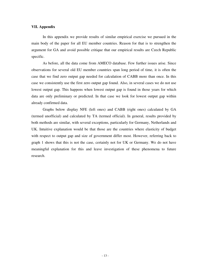#### **VII. Appendix**

In this appendix we provide results of similar empirical exercise we pursued in the main body of the paper for all EU member countries. Reason for that is to strengthen the argument for GA and avoid possible critique that our empirical results are Czech Republic specific.

As before, all the data come from AMECO database. Few further issues arise. Since observations for several old EU member countries span long period of time, it is often the case that we find zero output gap needed for calculation of CABB more than once. In this case we consistently use the first zero output gap found. Also, in several cases we do not use lowest output gap. This happens when lowest output gap is found in those years for which data are only preliminary or predicted. In that case we look for lowest output gap within already confirmed data.

Graphs below display NFE (left ones) and CABB (right ones) calculated by GA (termed unofficial) and calculated by TA (termed official). In general, results provided by both methods are similar, with several exceptions, particularly for Germany, Netherlands and UK. Intuitive explanation would be that those are the countries where elasticity of budget with respect to output gap and size of government differ most. However, referring back to graph 1 shows that this is not the case, certainly not for UK or Germany. We do not have meaningful explanation for this and leave investigation of these phenomena to future research.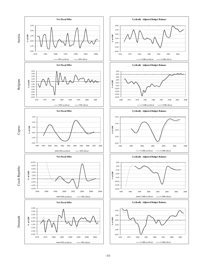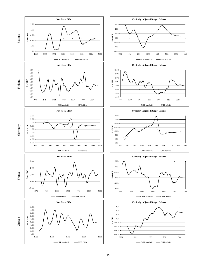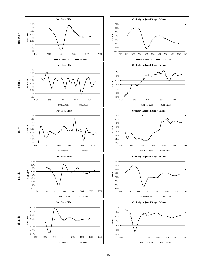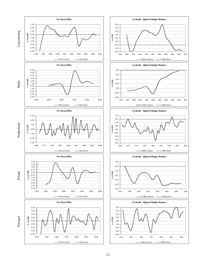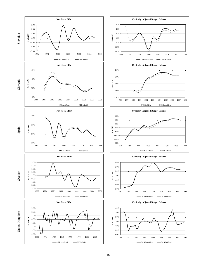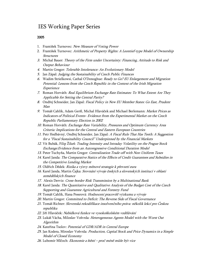### IES Working Paper Series

#### 2005

- 1. František Turnovec: New Measure of Voting Power
- 2. František Turnovec: Arithmetic of Property Rights: A Leontief-type Model of Ownership Structures
- 3. Michal Bauer: Theory of the Firm under Uncertainty: Financing, Attitude to Risk and Output Behaviour
- 4. Martin Gregor: Tolerable Intolerance: An Evolutionary Model
- 5. Jan Zápal: Judging the Sustainability of Czech Public Finances
- 6. Wadim Strielkowsi, Cathal O'Donoghue: Ready to Go? EU Enlargement and Migration Potential: Lessons from the Czech Republic in the Context of the Irish Migration Experience
- 7. Roman Horváth: Real Equilibrium Exchange Rate Estimates: To What Extent Are They Applicable for Setting the Central Parity?
- 8. Ondřej Schneider, Jan Zápal: Fiscal Policy in New EU Member States: Go East, Prudent Man
- 9. Tomáš Cahlík, Adam Geršl, Michal Hlaváček and Michael Berlemann: Market Prices as Indicators of Political Events- Evidence from the Experimental Market on the Czech Republic Parliamentary Election in 2002
- 10. Roman Horváth: Exchange Rate Variability, Pressures and Optimum Currency Area Criteria: Implications for the Central and Eastern European Countries
- 11. Petr Hedbávný, Ondřej Schneider, Jan Zápal: A Fiscal Rule That Has Teeth: A Suggestion for a "Fiscal Sustainability Council" Underpinned by the Financial Markets
- 12. Vít Bubák, Filip Žikeš: Trading Intensity and Intraday Volatility on the Prague Stock Exchange:Evidence from an Autoregressive Conditional Duration Model
- 13. Peter Tuchyňa, Martin Gregor: Centralization Trade-off with Non-Uniform Taxes
- 14. Karel Janda: The Comparative Statics of the Effects of Credit Guarantees and Subsidies in the Competitive Lending Market
- 15. Oldřich Dědek: Rizika a výzvy měnové strategie k převzetí eura
- 16. Karel Janda, Martin Čajka: *Srovnání vývoje českých a slovenských institucí v oblasti* zemědělských finance
- 17. Alexis Derviz: Cross-border Risk Transmission by a Multinational Bank
- 18. Karel Janda: The Quantitative and Qualitative Analysis of the Budget Cost of the Czech Supporting and Guarantee Agricultural and Forestry Fund
- 19. Tomáš Cahlík, Hana Pessrová: Hodnocení pracovišť výzkumu a vývoje
- 20. Martin Gregor: Committed to Deficit: The Reverse Side of Fiscal Governance
- 21. Tomáš Richter: Slovenská rekodifikace insolvenčního práva: několik lekcí pro Českou republiku
- 22. Jiří Hlaváček: Nabídková funkce ve vysokoškolském vzdělávání
- 23. Lukáš Vácha, Miloslav Vošvrda: Heterogeneous Agents Model with the Worst Out Algorithm
- 24. Kateřina Tsolov: Potential of GDR/ADR in Central Europe
- 25. Jan Kodera, Miroslav Vošvrda: Production, Capital Stock and Price Dynamics in a Simple Model of Closed Economy
- 26. Lubomír Mlčoch: Ekonomie a štěstí proč méně může být vice